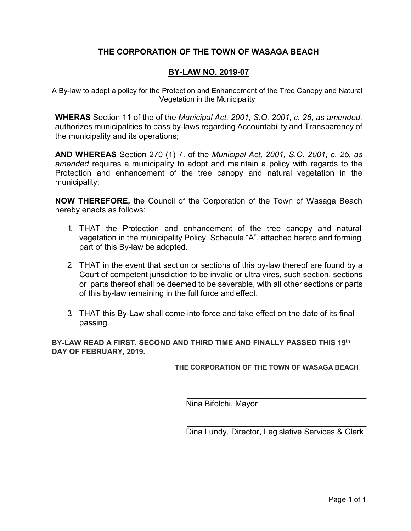## **THE CORPORATION OF THE TOWN OF WASAGA BEACH**

### **BY-LAW NO. 2019-07**

A By-law to adopt a policy for the Protection and Enhancement of the Tree Canopy and Natural Vegetation in the Municipality

**WHERAS** Section 11 of the of the *Municipal Act, 2001, S.O. 2001, c. 25, as amended,*  authorizes municipalities to pass by-laws regarding Accountability and Transparency of the municipality and its operations;

**AND WHEREAS** Section 270 (1) 7. of the *Municipal Act, 2001, S.O. 2001, c. 25, as amended* requires a municipality to adopt and maintain a policy with regards to the Protection and enhancement of the tree canopy and natural vegetation in the municipality;

**NOW THEREFORE,** the Council of the Corporation of the Town of Wasaga Beach hereby enacts as follows:

- 1. THAT the Protection and enhancement of the tree canopy and natural vegetation in the municipality Policy, Schedule "A", attached hereto and forming part of this By-law be adopted.
- 2. THAT in the event that section or sections of this by-law thereof are found by a Court of competent jurisdiction to be invalid or ultra vires, such section, sections or parts thereof shall be deemed to be severable, with all other sections or parts of this by-law remaining in the full force and effect.
- 3. THAT this By-Law shall come into force and take effect on the date of its final passing.

**BY-LAW READ A FIRST, SECOND AND THIRD TIME AND FINALLY PASSED THIS 19th DAY OF FEBRUARY, 2019.**

**THE CORPORATION OF THE TOWN OF WASAGA BEACH**

Nina Bifolchi, Mayor

\_\_\_\_\_\_\_\_\_\_\_\_\_\_\_\_\_\_\_\_\_\_\_\_\_\_\_\_\_\_\_\_\_\_\_\_\_\_\_\_ Dina Lundy, Director, Legislative Services & Clerk

\_\_\_\_\_\_\_\_\_\_\_\_\_\_\_\_\_\_\_\_\_\_\_\_\_\_\_\_\_\_\_\_\_\_\_\_\_\_\_\_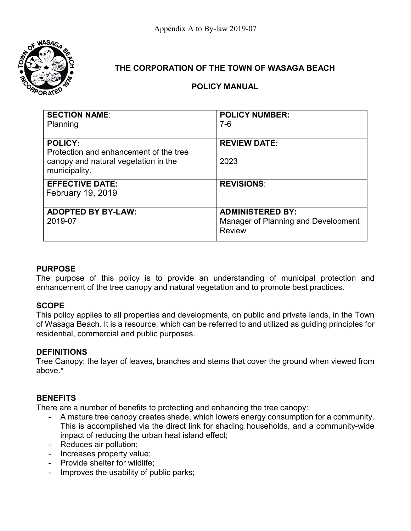

# **THE CORPORATION OF THE TOWN OF WASAGA BEACH**

## **POLICY MANUAL**

| <b>SECTION NAME:</b>                                  | <b>POLICY NUMBER:</b>                            |
|-------------------------------------------------------|--------------------------------------------------|
| Planning                                              | $7-6$                                            |
|                                                       |                                                  |
| <b>POLICY:</b>                                        | <b>REVIEW DATE:</b>                              |
| Protection and enhancement of the tree                |                                                  |
|                                                       |                                                  |
|                                                       |                                                  |
| <b>EFFECTIVE DATE:</b>                                | <b>REVISIONS:</b>                                |
| February 19, 2019                                     |                                                  |
|                                                       |                                                  |
| <b>ADOPTED BY BY-LAW:</b>                             |                                                  |
| 2019-07                                               | Manager of Planning and Development              |
|                                                       |                                                  |
| canopy and natural vegetation in the<br>municipality. | 2023<br><b>ADMINISTERED BY:</b><br><b>Review</b> |

### **PURPOSE**

The purpose of this policy is to provide an understanding of municipal protection and enhancement of the tree canopy and natural vegetation and to promote best practices.

### **SCOPE**

This policy applies to all properties and developments, on public and private lands, in the Town of Wasaga Beach. It is a resource, which can be referred to and utilized as guiding principles for residential, commercial and public purposes.

### **DEFINITIONS**

Tree Canopy: the layer of leaves, branches and stems that cover the ground when viewed from above.\*

### **BENEFITS**

There are a number of benefits to protecting and enhancing the tree canopy:

- A mature tree canopy creates shade, which lowers energy consumption for a community. This is accomplished via the direct link for shading households, and a community-wide impact of reducing the urban heat island effect;
- Reduces air pollution;
- Increases property value;
- Provide shelter for wildlife;
- Improves the usability of public parks;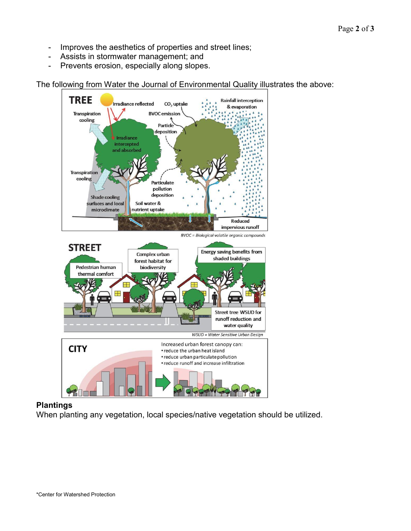- Improves the aesthetics of properties and street lines;
- Assists in stormwater management; and
- Prevents erosion, especially along slopes.

The following from Water the Journal of Environmental Quality illustrates the above:



### **Plantings**

When planting any vegetation, local species/native vegetation should be utilized.